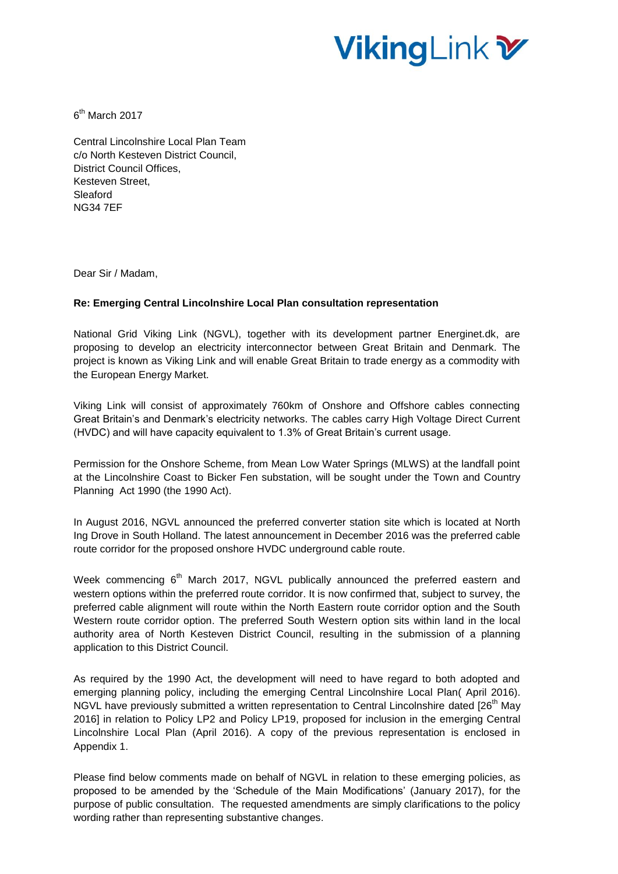# VikingLink <del>W</del>

6<sup>th</sup> March 2017

Central Lincolnshire Local Plan Team c/o North Kesteven District Council, District Council Offices, Kesteven Street, Sleaford NG34 7EF

Dear Sir / Madam,

## **Re: Emerging Central Lincolnshire Local Plan consultation representation**

National Grid Viking Link (NGVL), together with its development partner Energinet.dk, are proposing to develop an electricity interconnector between Great Britain and Denmark. The project is known as Viking Link and will enable Great Britain to trade energy as a commodity with the European Energy Market.

Viking Link will consist of approximately 760km of Onshore and Offshore cables connecting Great Britain's and Denmark's electricity networks. The cables carry High Voltage Direct Current (HVDC) and will have capacity equivalent to 1.3% of Great Britain's current usage.

Permission for the Onshore Scheme, from Mean Low Water Springs (MLWS) at the landfall point at the Lincolnshire Coast to Bicker Fen substation, will be sought under the Town and Country Planning Act 1990 (the 1990 Act).

In August 2016, NGVL announced the preferred converter station site which is located at North Ing Drove in South Holland. The latest announcement in December 2016 was the preferred cable route corridor for the proposed onshore HVDC underground cable route.

Week commencing 6<sup>th</sup> March 2017, NGVL publically announced the preferred eastern and western options within the preferred route corridor. It is now confirmed that, subject to survey, the preferred cable alignment will route within the North Eastern route corridor option and the South Western route corridor option. The preferred South Western option sits within land in the local authority area of North Kesteven District Council, resulting in the submission of a planning application to this District Council.

As required by the 1990 Act, the development will need to have regard to both adopted and emerging planning policy, including the emerging Central Lincolnshire Local Plan( April 2016). NGVL have previously submitted a written representation to Central Lincolnshire dated [26<sup>th</sup> Mav 2016] in relation to Policy LP2 and Policy LP19, proposed for inclusion in the emerging Central Lincolnshire Local Plan (April 2016). A copy of the previous representation is enclosed in Appendix 1.

Please find below comments made on behalf of NGVL in relation to these emerging policies, as proposed to be amended by the 'Schedule of the Main Modifications' (January 2017), for the purpose of public consultation. The requested amendments are simply clarifications to the policy wording rather than representing substantive changes.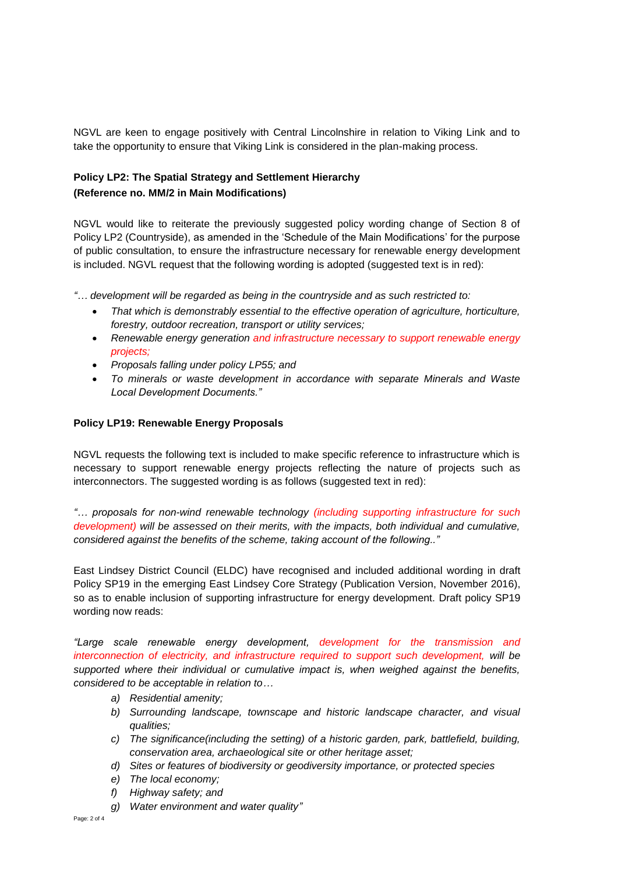NGVL are keen to engage positively with Central Lincolnshire in relation to Viking Link and to take the opportunity to ensure that Viking Link is considered in the plan-making process.

## **Policy LP2: The Spatial Strategy and Settlement Hierarchy (Reference no. MM/2 in Main Modifications)**

NGVL would like to reiterate the previously suggested policy wording change of Section 8 of Policy LP2 (Countryside), as amended in the 'Schedule of the Main Modifications' for the purpose of public consultation, to ensure the infrastructure necessary for renewable energy development is included. NGVL request that the following wording is adopted (suggested text is in red):

*"… development will be regarded as being in the countryside and as such restricted to:*

- *That which is demonstrably essential to the effective operation of agriculture, horticulture, forestry, outdoor recreation, transport or utility services;*
- *Renewable energy generation and infrastructure necessary to support renewable energy projects;*
- *Proposals falling under policy LP55; and*
- *To minerals or waste development in accordance with separate Minerals and Waste Local Development Documents."*

## **Policy LP19: Renewable Energy Proposals**

NGVL requests the following text is included to make specific reference to infrastructure which is necessary to support renewable energy projects reflecting the nature of projects such as interconnectors. The suggested wording is as follows (suggested text in red):

*"… proposals for non-wind renewable technology (including supporting infrastructure for such development) will be assessed on their merits, with the impacts, both individual and cumulative, considered against the benefits of the scheme, taking account of the following.."*

East Lindsey District Council (ELDC) have recognised and included additional wording in draft Policy SP19 in the emerging East Lindsey Core Strategy (Publication Version, November 2016), so as to enable inclusion of supporting infrastructure for energy development. Draft policy SP19 wording now reads:

*"Large scale renewable energy development, development for the transmission and interconnection of electricity, and infrastructure required to support such development, will be supported where their individual or cumulative impact is, when weighed against the benefits, considered to be acceptable in relation to…*

- *a) Residential amenity;*
- *b) Surrounding landscape, townscape and historic landscape character, and visual qualities;*
- *c) The significance(including the setting) of a historic garden, park, battlefield, building, conservation area, archaeological site or other heritage asset;*
- *d) Sites or features of biodiversity or geodiversity importance, or protected species*
- *e) The local economy;*
- *f) Highway safety; and*
- *g) Water environment and water quality"*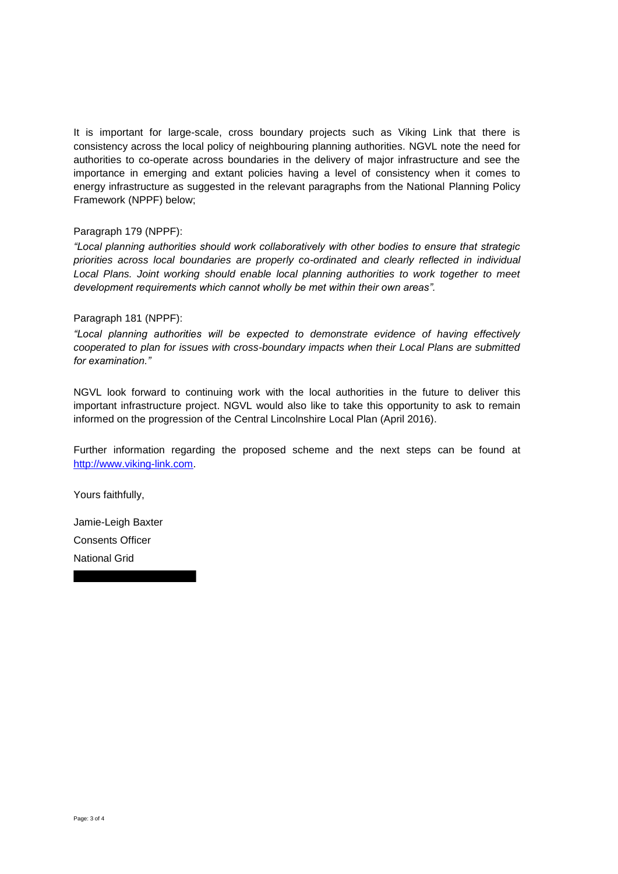It is important for large-scale, cross boundary projects such as Viking Link that there is consistency across the local policy of neighbouring planning authorities. NGVL note the need for authorities to co-operate across boundaries in the delivery of major infrastructure and see the importance in emerging and extant policies having a level of consistency when it comes to energy infrastructure as suggested in the relevant paragraphs from the National Planning Policy Framework (NPPF) below;

## Paragraph 179 (NPPF):

*"Local planning authorities should work collaboratively with other bodies to ensure that strategic priorities across local boundaries are properly co-ordinated and clearly reflected in individual Local Plans. Joint working should enable local planning authorities to work together to meet development requirements which cannot wholly be met within their own areas".* 

## Paragraph 181 (NPPF):

*"Local planning authorities will be expected to demonstrate evidence of having effectively cooperated to plan for issues with cross-boundary impacts when their Local Plans are submitted for examination."*

NGVL look forward to continuing work with the local authorities in the future to deliver this important infrastructure project. NGVL would also like to take this opportunity to ask to remain informed on the progression of the Central Lincolnshire Local Plan (April 2016).

Further information regarding the proposed scheme and the next steps can be found at [http://www.viking-link.com.](http://www.viking-link.com/)

Yours faithfully,

Jamie-Leigh Baxter Consents Officer National Grid